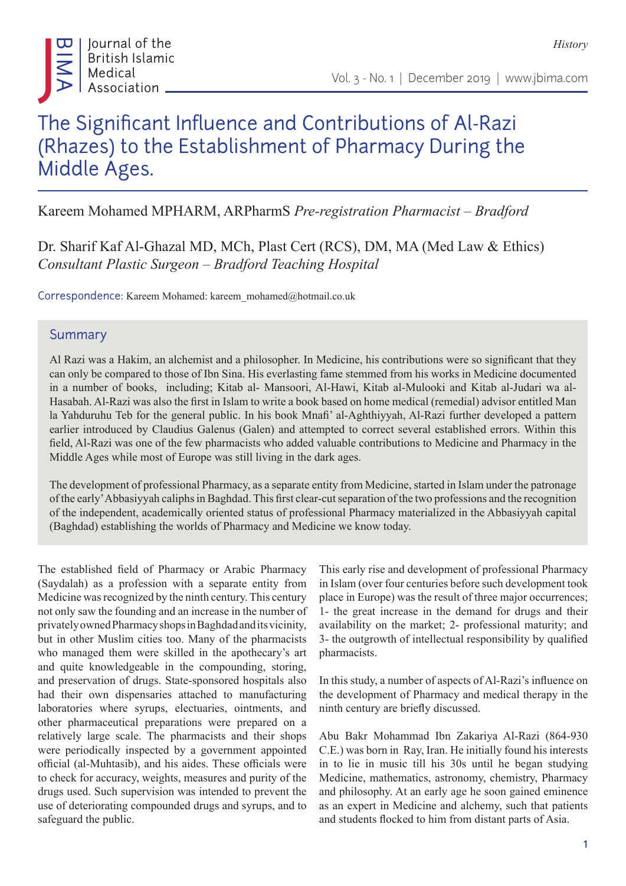

*History*

## The Significant Influence and Contributions of Al-Razi (Rhazes) to the Establishment of Pharmacy During the Middle Ages.

Kareem Mohamed MPHARM, ARPharmS *Pre-registration Pharmacist – Bradford*

Dr. Sharif Kaf Al-Ghazal MD, MCh, Plast Cert (RCS), DM, MA (Med Law & Ethics) *Consultant Plastic Surgeon – Bradford Teaching Hospital*

Correspondence: Kareem Mohamed: kareem\_mohamed@hotmail.co.uk

## Summary

Al Razi was a Hakim, an alchemist and a philosopher. In Medicine, his contributions were so significant that they can only be compared to those of Ibn Sina. His everlasting fame stemmed from his works in Medicine documented in a number of books, including; Kitab al- Mansoori, Al-Hawi, Kitab al-Mulooki and Kitab al-Judari wa al-Hasabah. Al-Razi was also the first in Islam to write a book based on home medical (remedial) advisor entitled Man la Yahduruhu Teb for the general public. In his book Mnafi' al-Aghthiyyah, Al-Razi further developed a pattern earlier introduced by Claudius Galenus (Galen) and attempted to correct several established errors. Within this field, Al-Razi was one of the few pharmacists who added valuable contributions to Medicine and Pharmacy in the Middle Ages while most of Europe was still living in the dark ages.

The development of professional Pharmacy, as a separate entity from Medicine, started in Islam under the patronage of the early' Abbasiyyah caliphs in Baghdad. This first clear-cut separation of the two professions and the recognition of the independent, academically oriented status of professional Pharmacy materialized in the Abbasiyyah capital (Baghdad) establishing the worlds of Pharmacy and Medicine we know today.

The established field of Pharmacy or Arabic Pharmacy (Saydalah) as a profession with a separate entity from Medicine was recognized by the ninth century. This century not only saw the founding and an increase in the number of privately owned Pharmacy shops in Baghdad and its vicinity, but in other Muslim cities too. Many of the pharmacists who managed them were skilled in the apothecary's art and quite knowledgeable in the compounding, storing, and preservation of drugs. State-sponsored hospitals also had their own dispensaries attached to manufacturing laboratories where syrups, electuaries, ointments, and other pharmaceutical preparations were prepared on a relatively large scale. The pharmacists and their shops were periodically inspected by a government appointed official (al-Muhtasib), and his aides. These officials were to check for accuracy, weights, measures and purity of the drugs used. Such supervision was intended to prevent the use of deteriorating compounded drugs and syrups, and to safeguard the public.

This early rise and development of professional Pharmacy in Islam (over four centuries before such development took place in Europe) was the result of three major occurrences; 1- the great increase in the demand for drugs and their availability on the market; 2- professional maturity; and 3- the outgrowth of intellectual responsibility by qualified pharmacists.

In this study, a number of aspects of Al-Razi's influence on the development of Pharmacy and medical therapy in the ninth century are briefly discussed.

Abu Bakr Mohammad Ibn Zakariya Al-Razi (864-930 C.E.) was born in Ray, Iran. He initially found his interests in to lie in music till his 30s until he began studying Medicine, mathematics, astronomy, chemistry, Pharmacy and philosophy. At an early age he soon gained eminence as an expert in Medicine and alchemy, such that patients and students flocked to him from distant parts of Asia.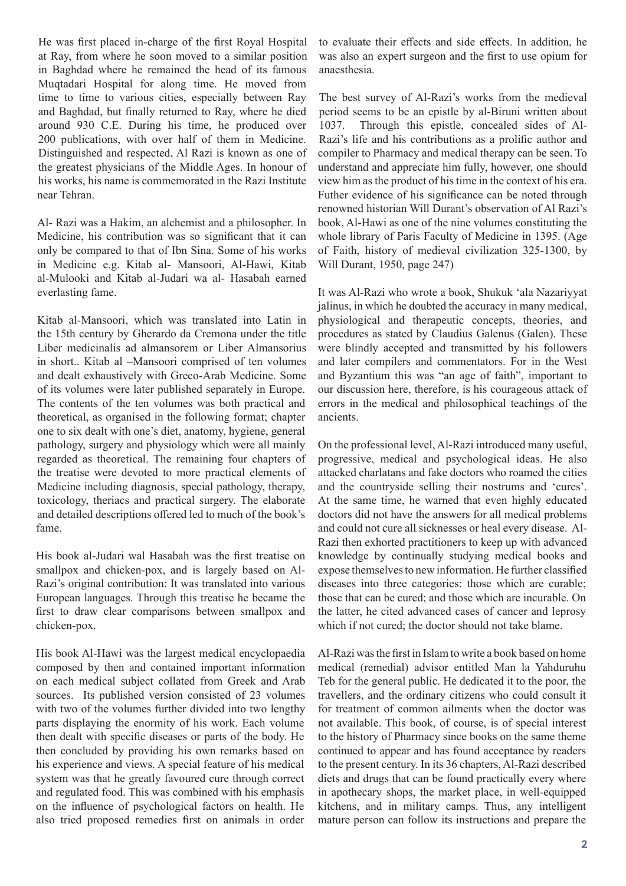He was first placed in-charge of the first Royal Hospital at Ray, from where he soon moved to a similar position in Baghdad where he remained the head of its famous Muqtadari Hospital for along time. He moved from time to time to various cities, especially between Ray and Baghdad, but finally returned to Ray, where he died around 930 C.E. During his time, he produced over 200 publications, with over half of them in Medicine. Distinguished and respected, Al Razi is known as one of the greatest physicians of the Middle Ages. In honour of his works, his name is commemorated in the Razi Institute near Tehran.

Al- Razi was a Hakim, an alchemist and a philosopher. In Medicine, his contribution was so significant that it can only be compared to that of Ibn Sina. Some of his works in Medicine e.g. Kitab al- Mansoori, Al-Hawi, Kitab al-Mulooki and Kitab al-Judari wa al- Hasabah earned everlasting fame.

Kitab al-Mansoori, which was translated into Latin in the 15th century by Gherardo da Cremona under the title Liber medicinalis ad almansorem or Liber Almansorius in short.. Kitab al –Mansoori comprised of ten volumes and dealt exhaustively with Greco-Arab Medicine. Some of its volumes were later published separately in Europe. The contents of the ten volumes was both practical and theoretical, as organised in the following format; chapter one to six dealt with one's diet, anatomy, hygiene, general pathology, surgery and physiology which were all mainly regarded as theoretical. The remaining four chapters of the treatise were devoted to more practical elements of Medicine including diagnosis, special pathology, therapy, toxicology, theriacs and practical surgery. The elaborate and detailed descriptions offered led to much of the book's fame.

His book al-Judari wal Hasabah was the first treatise on smallpox and chicken-pox, and is largely based on Al-Razi's original contribution: It was translated into various European languages. Through this treatise he became the first to draw clear comparisons between smallpox and chicken-pox.

His book Al-Hawi was the largest medical encyclopaedia composed by then and contained important information on each medical subject collated from Greek and Arab sources. Its published version consisted of 23 volumes with two of the volumes further divided into two lengthy parts displaying the enormity of his work. Each volume then dealt with specific diseases or parts of the body. He then concluded by providing his own remarks based on his experience and views. A special feature of his medical system was that he greatly favoured cure through correct and regulated food. This was combined with his emphasis on the influence of psychological factors on health. He also tried proposed remedies first on animals in order

to evaluate their effects and side effects. In addition, he was also an expert surgeon and the first to use opium for anaesthesia.

The best survey of Al-Razi's works from the medieval period seems to be an epistle by al-Biruni written about 1037. Through this epistle, concealed sides of Al-Razi's life and his contributions as a prolific author and compiler to Pharmacy and medical therapy can be seen. To understand and appreciate him fully, however, one should view him as the product of his time in the context of his era. Futher evidence of his significance can be noted through renowned historian Will Durant's observation of Al Razi's book, Al-Hawi as one of the nine volumes constituting the whole library of Paris Faculty of Medicine in 1395. (Age of Faith, history of medieval civilization 325-1300, by Will Durant, 1950, page 247)

It was Al-Razi who wrote a book, Shukuk 'ala Nazariyyat jalinus, in which he doubted the accuracy in many medical, physiological and therapeutic concepts, theories, and procedures as stated by Claudius Galenus (Galen). These were blindly accepted and transmitted by his followers and later compilers and commentators. For in the West and Byzantium this was "an age of faith", important to our discussion here, therefore, is his courageous attack of errors in the medical and philosophical teachings of the ancients.

On the professional level, Al-Razi introduced many useful, progressive, medical and psychological ideas. He also attacked charlatans and fake doctors who roamed the cities and the countryside selling their nostrums and 'cures'. At the same time, he warned that even highly educated doctors did not have the answers for all medical problems and could not cure all sicknesses or heal every disease. Al-Razi then exhorted practitioners to keep up with advanced knowledge by continually studying medical books and expose themselves to new information. He further classified diseases into three categories: those which are curable; those that can be cured; and those which are incurable. On the latter, he cited advanced cases of cancer and leprosy which if not cured; the doctor should not take blame.

Al-Razi was the first in Islam to write a book based on home medical (remedial) advisor entitled Man la Yahduruhu Teb for the general public. He dedicated it to the poor, the travellers, and the ordinary citizens who could consult it for treatment of common ailments when the doctor was not available. This book, of course, is of special interest to the history of Pharmacy since books on the same theme continued to appear and has found acceptance by readers to the present century. In its 36 chapters, Al-Razi described diets and drugs that can be found practically every where in apothecary shops, the market place, in well-equipped kitchens, and in military camps. Thus, any intelligent mature person can follow its instructions and prepare the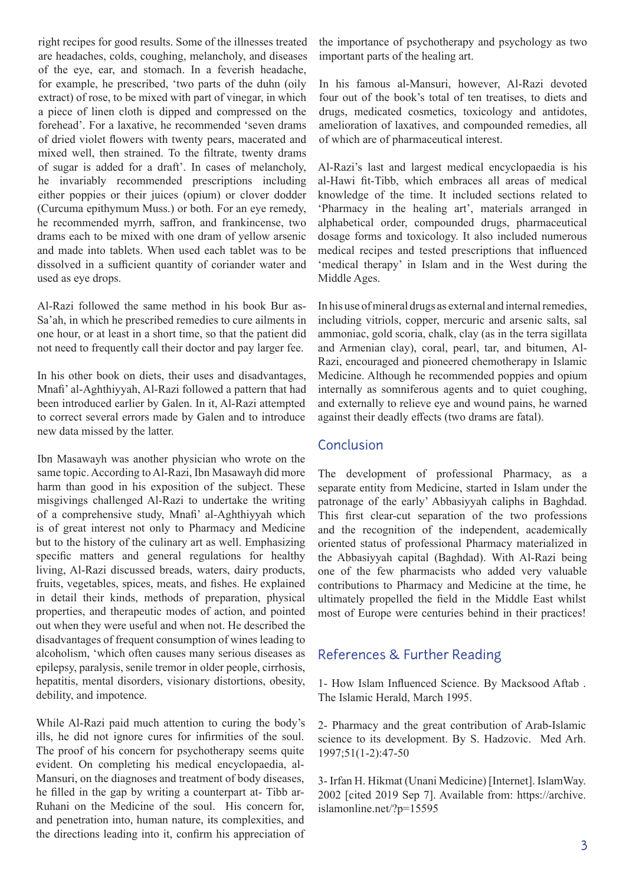right recipes for good results. Some of the illnesses treated are headaches, colds, coughing, melancholy, and diseases of the eye, ear, and stomach. In a feverish headache, for example, he prescribed, 'two parts of the duhn (oily extract) of rose, to be mixed with part of vinegar, in which a piece of linen cloth is dipped and compressed on the forehead'. For a laxative, he recommended 'seven drams of dried violet flowers with twenty pears, macerated and mixed well, then strained. To the filtrate, twenty drams of sugar is added for a draft'. In cases of melancholy, he invariably recommended prescriptions including either poppies or their juices (opium) or clover dodder (Curcuma epithymum Muss.) or both. For an eye remedy, he recommended myrrh, saffron, and frankincense, two drams each to be mixed with one dram of yellow arsenic and made into tablets. When used each tablet was to be dissolved in a sufficient quantity of coriander water and used as eye drops.

Al-Razi followed the same method in his book Bur as-Sa'ah, in which he prescribed remedies to cure ailments in one hour, or at least in a short time, so that the patient did not need to frequently call their doctor and pay larger fee.

In his other book on diets, their uses and disadvantages, Mnafi' al-Aghthiyyah, Al-Razi followed a pattern that had been introduced earlier by Galen. In it, Al-Razi attempted to correct several errors made by Galen and to introduce new data missed by the latter.

Ibn Masawayh was another physician who wrote on the same topic. According to Al-Razi, Ibn Masawayh did more harm than good in his exposition of the subject. These misgivings challenged Al-Razi to undertake the writing of a comprehensive study, Mnafi' al-Aghthiyyah which is of great interest not only to Pharmacy and Medicine but to the history of the culinary art as well. Emphasizing specific matters and general regulations for healthy living, Al-Razi discussed breads, waters, dairy products, fruits, vegetables, spices, meats, and fishes. He explained in detail their kinds, methods of preparation, physical properties, and therapeutic modes of action, and pointed out when they were useful and when not. He described the disadvantages of frequent consumption of wines leading to alcoholism, 'which often causes many serious diseases as epilepsy, paralysis, senile tremor in older people, cirrhosis, hepatitis, mental disorders, visionary distortions, obesity, debility, and impotence.

While Al-Razi paid much attention to curing the body's ills, he did not ignore cures for infirmities of the soul. The proof of his concern for psychotherapy seems quite evident. On completing his medical encyclopaedia, al-Mansuri, on the diagnoses and treatment of body diseases, he filled in the gap by writing a counterpart at- Tibb ar-Ruhani on the Medicine of the soul. His concern for, and penetration into, human nature, its complexities, and the directions leading into it, confirm his appreciation of the importance of psychotherapy and psychology as two important parts of the healing art.

In his famous al-Mansuri, however, Al-Razi devoted four out of the book's total of ten treatises, to diets and drugs, medicated cosmetics, toxicology and antidotes, amelioration of laxatives, and compounded remedies, all of which are of pharmaceutical interest.

Al-Razi's last and largest medical encyclopaedia is his al-Hawi fit-Tibb, which embraces all areas of medical knowledge of the time. It included sections related to 'Pharmacy in the healing art', materials arranged in alphabetical order, compounded drugs, pharmaceutical dosage forms and toxicology. It also included numerous medical recipes and tested prescriptions that influenced 'medical therapy' in Islam and in the West during the Middle Ages.

In his use of mineral drugs as external and internal remedies, including vitriols, copper, mercuric and arsenic salts, sal ammoniac, gold scoria, chalk, clay (as in the terra sigillata and Armenian clay), coral, pearl, tar, and bitumen, Al-Razi, encouraged and pioneered chemotherapy in Islamic Medicine. Although he recommended poppies and opium internally as somniferous agents and to quiet coughing, and externally to relieve eye and wound pains, he warned against their deadly effects (two drams are fatal).

## Conclusion

The development of professional Pharmacy, as a separate entity from Medicine, started in Islam under the patronage of the early' Abbasiyyah caliphs in Baghdad. This first clear-cut separation of the two professions and the recognition of the independent, academically oriented status of professional Pharmacy materialized in the Abbasiyyah capital (Baghdad). With Al-Razi being one of the few pharmacists who added very valuable contributions to Pharmacy and Medicine at the time, he ultimately propelled the field in the Middle East whilst most of Europe were centuries behind in their practices!

## References & Further Reading

1- How Islam Influenced Science. By Macksood Aftab . The Islamic Herald, March 1995.

2- Pharmacy and the great contribution of Arab-Islamic science to its development. By S. Hadzovic. Med Arh. 1997;51(1-2):47-50

3- Irfan H. Hikmat (Unani Medicine) [Internet]. IslamWay. 2002 [cited 2019 Sep 7]. Available from: https://archive. islamonline.net/?p=15595